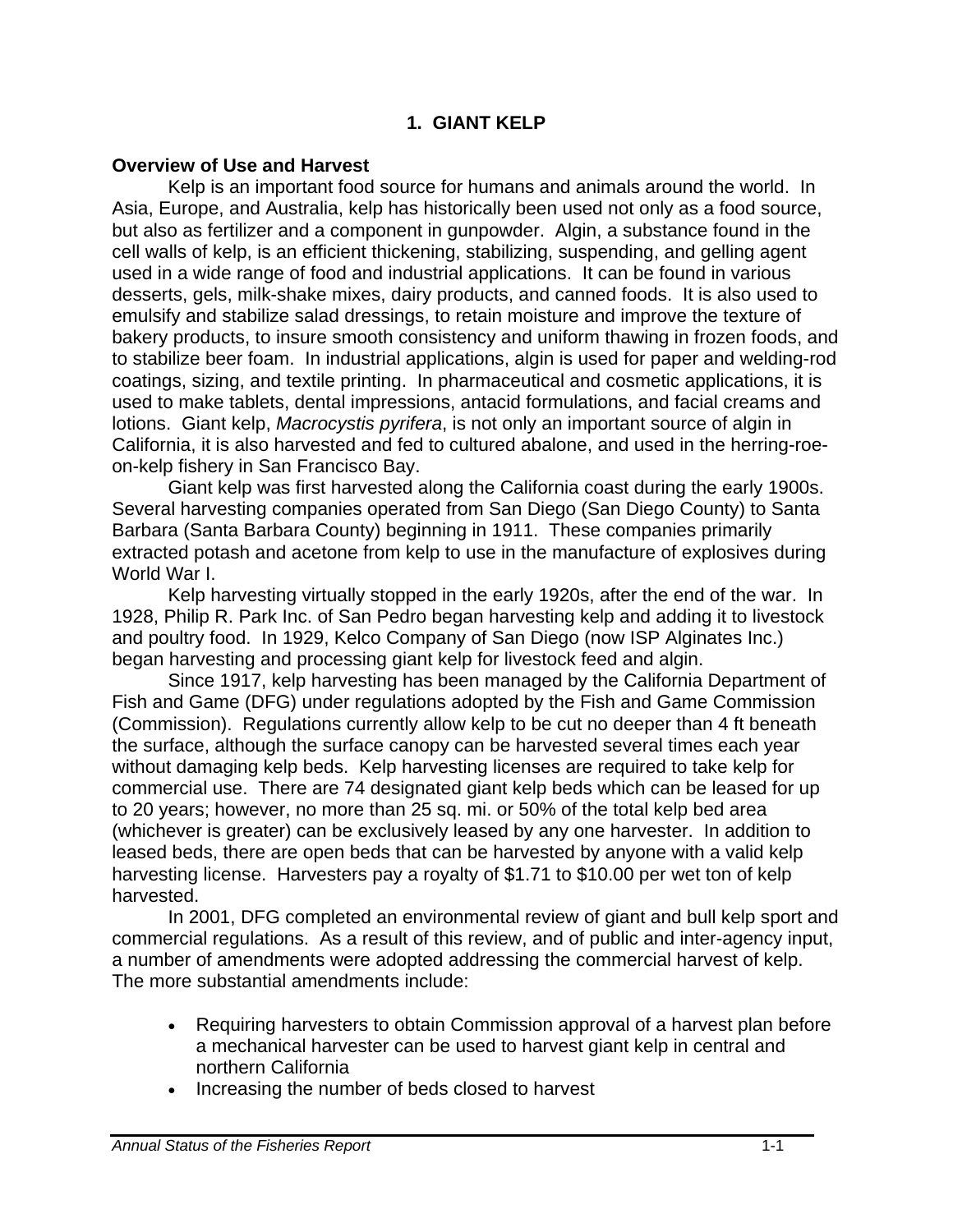# **1. GIANT KELP**

#### **Overview of Use and Harvest**

Kelp is an important food source for humans and animals around the world. In Asia, Europe, and Australia, kelp has historically been used not only as a food source, but also as fertilizer and a component in gunpowder. Algin, a substance found in the cell walls of kelp, is an efficient thickening, stabilizing, suspending, and gelling agent used in a wide range of food and industrial applications. It can be found in various desserts, gels, milk-shake mixes, dairy products, and canned foods. It is also used to emulsify and stabilize salad dressings, to retain moisture and improve the texture of bakery products, to insure smooth consistency and uniform thawing in frozen foods, and to stabilize beer foam. In industrial applications, algin is used for paper and welding-rod coatings, sizing, and textile printing. In pharmaceutical and cosmetic applications, it is used to make tablets, dental impressions, antacid formulations, and facial creams and lotions. Giant kelp, *Macrocystis pyrifera*, is not only an important source of algin in California, it is also harvested and fed to cultured abalone, and used in the herring-roeon-kelp fishery in San Francisco Bay.

Giant kelp was first harvested along the California coast during the early 1900s. Several harvesting companies operated from San Diego (San Diego County) to Santa Barbara (Santa Barbara County) beginning in 1911. These companies primarily extracted potash and acetone from kelp to use in the manufacture of explosives during World War I.

Kelp harvesting virtually stopped in the early 1920s, after the end of the war. In 1928, Philip R. Park Inc. of San Pedro began harvesting kelp and adding it to livestock and poultry food. In 1929, Kelco Company of San Diego (now ISP Alginates Inc.) began harvesting and processing giant kelp for livestock feed and algin.

Since 1917, kelp harvesting has been managed by the California Department of Fish and Game (DFG) under regulations adopted by the Fish and Game Commission (Commission). Regulations currently allow kelp to be cut no deeper than 4 ft beneath the surface, although the surface canopy can be harvested several times each year without damaging kelp beds. Kelp harvesting licenses are required to take kelp for commercial use. There are 74 designated giant kelp beds which can be leased for up to 20 years; however, no more than 25 sq. mi. or 50% of the total kelp bed area (whichever is greater) can be exclusively leased by any one harvester. In addition to leased beds, there are open beds that can be harvested by anyone with a valid kelp harvesting license. Harvesters pay a royalty of \$1.71 to \$10.00 per wet ton of kelp harvested.

In 2001, DFG completed an environmental review of giant and bull kelp sport and commercial regulations. As a result of this review, and of public and inter-agency input, a number of amendments were adopted addressing the commercial harvest of kelp. The more substantial amendments include:

- Requiring harvesters to obtain Commission approval of a harvest plan before a mechanical harvester can be used to harvest giant kelp in central and northern California
- Increasing the number of beds closed to harvest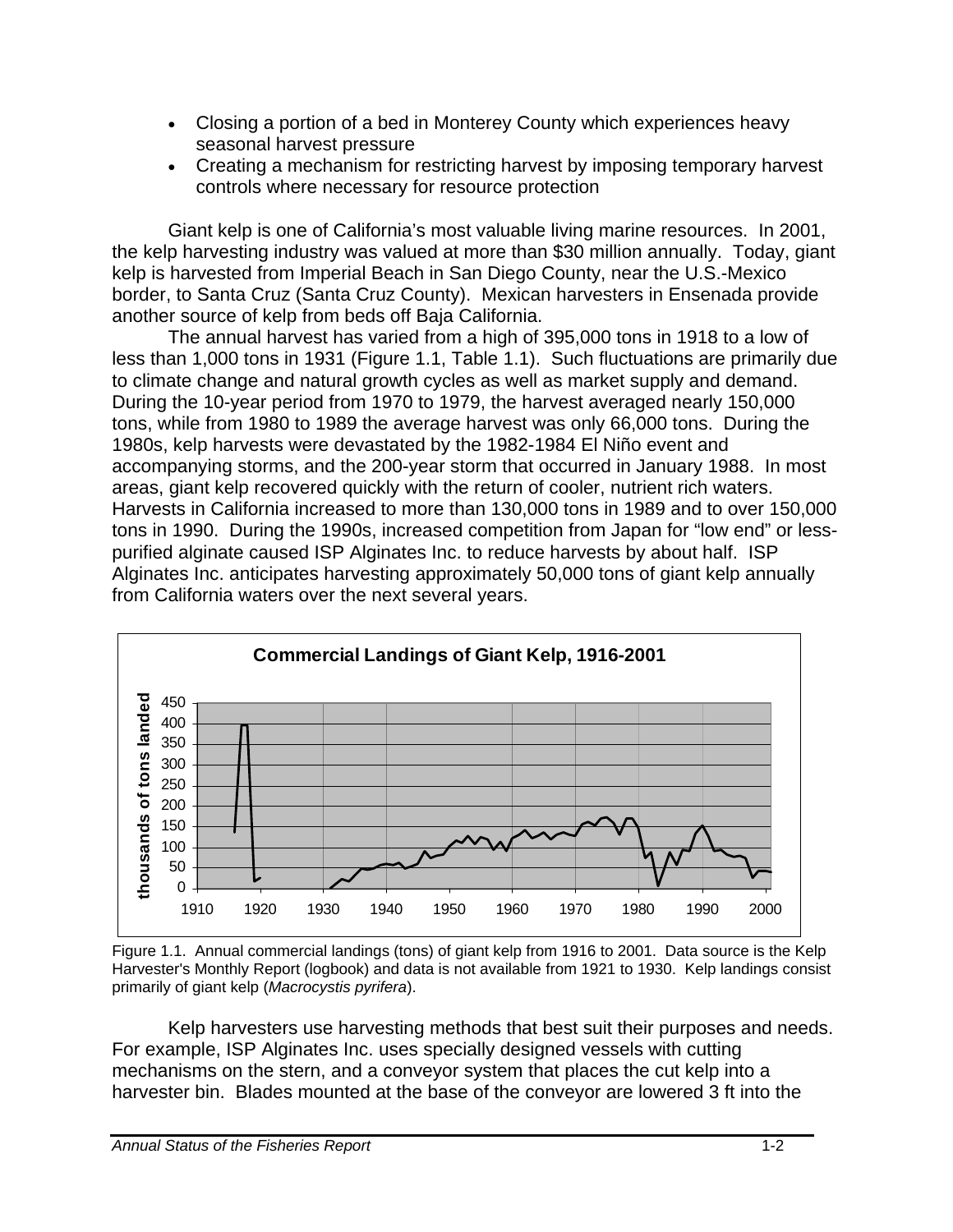- Closing a portion of a bed in Monterey County which experiences heavy seasonal harvest pressure
- Creating a mechanism for restricting harvest by imposing temporary harvest controls where necessary for resource protection

Giant kelp is one of California's most valuable living marine resources. In 2001, the kelp harvesting industry was valued at more than \$30 million annually. Today, giant kelp is harvested from Imperial Beach in San Diego County, near the U.S.-Mexico border, to Santa Cruz (Santa Cruz County). Mexican harvesters in Ensenada provide another source of kelp from beds off Baja California.

The annual harvest has varied from a high of 395,000 tons in 1918 to a low of less than 1,000 tons in 1931 (Figure 1.1, Table 1.1). Such fluctuations are primarily due to climate change and natural growth cycles as well as market supply and demand. During the 10-year period from 1970 to 1979, the harvest averaged nearly 150,000 tons, while from 1980 to 1989 the average harvest was only 66,000 tons. During the 1980s, kelp harvests were devastated by the 1982-1984 El Niño event and accompanying storms, and the 200-year storm that occurred in January 1988. In most areas, giant kelp recovered quickly with the return of cooler, nutrient rich waters. Harvests in California increased to more than 130,000 tons in 1989 and to over 150,000 tons in 1990. During the 1990s, increased competition from Japan for "low end" or lesspurified alginate caused ISP Alginates Inc. to reduce harvests by about half. ISP Alginates Inc. anticipates harvesting approximately 50,000 tons of giant kelp annually from California waters over the next several years.



Figure 1.1. Annual commercial landings (tons) of giant kelp from 1916 to 2001. Data source is the Kelp Harvester's Monthly Report (logbook) and data is not available from 1921 to 1930. Kelp landings consist primarily of giant kelp (*Macrocystis pyrifera*).

Kelp harvesters use harvesting methods that best suit their purposes and needs. For example, ISP Alginates Inc. uses specially designed vessels with cutting mechanisms on the stern, and a conveyor system that places the cut kelp into a harvester bin. Blades mounted at the base of the conveyor are lowered 3 ft into the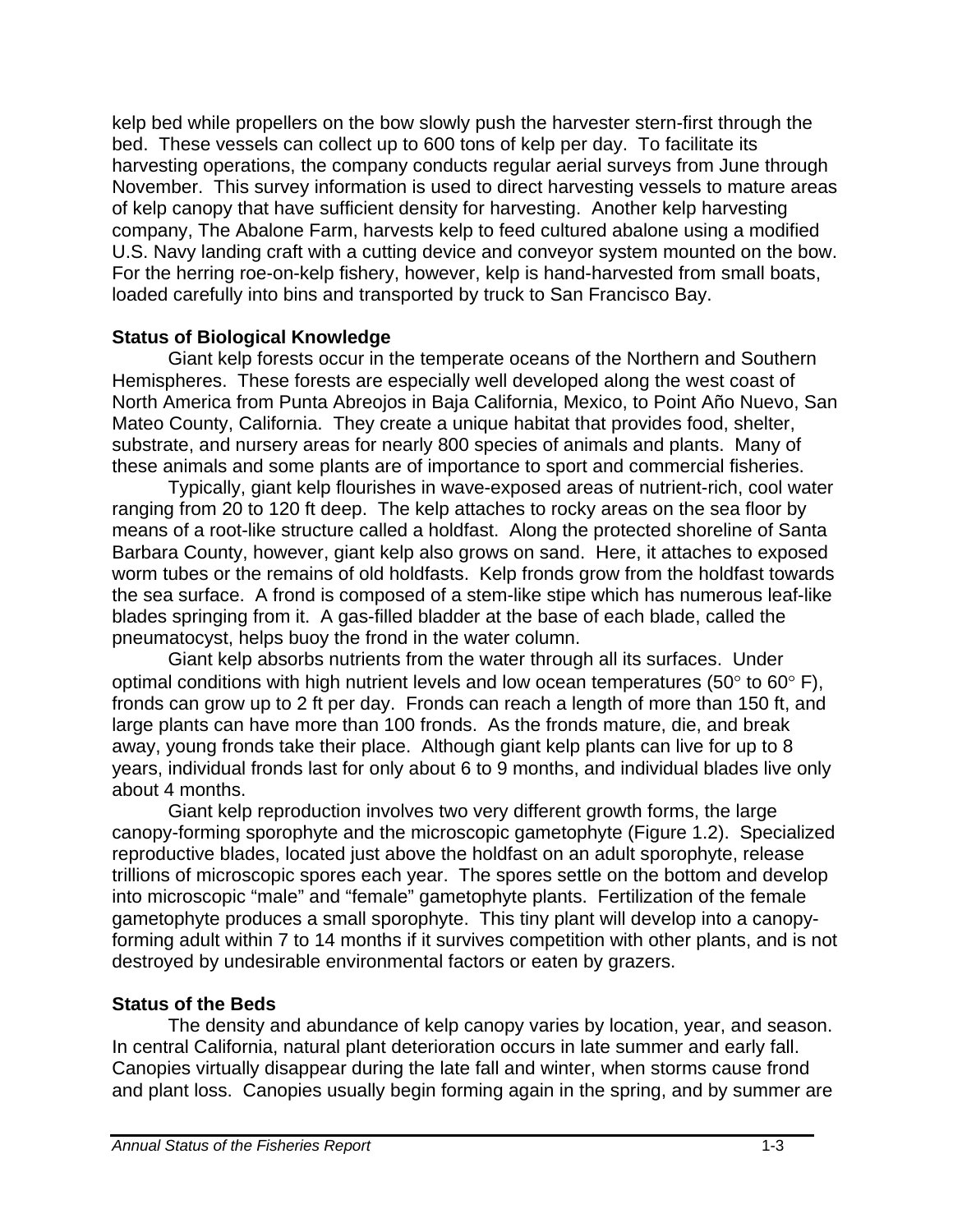kelp bed while propellers on the bow slowly push the harvester stern-first through the bed. These vessels can collect up to 600 tons of kelp per day. To facilitate its harvesting operations, the company conducts regular aerial surveys from June through November. This survey information is used to direct harvesting vessels to mature areas of kelp canopy that have sufficient density for harvesting. Another kelp harvesting company, The Abalone Farm, harvests kelp to feed cultured abalone using a modified U.S. Navy landing craft with a cutting device and conveyor system mounted on the bow. For the herring roe-on-kelp fishery, however, kelp is hand-harvested from small boats, loaded carefully into bins and transported by truck to San Francisco Bay.

# **Status of Biological Knowledge**

Giant kelp forests occur in the temperate oceans of the Northern and Southern Hemispheres. These forests are especially well developed along the west coast of North America from Punta Abreojos in Baja California, Mexico, to Point Año Nuevo, San Mateo County, California. They create a unique habitat that provides food, shelter, substrate, and nursery areas for nearly 800 species of animals and plants. Many of these animals and some plants are of importance to sport and commercial fisheries.

Typically, giant kelp flourishes in wave-exposed areas of nutrient-rich, cool water ranging from 20 to 120 ft deep. The kelp attaches to rocky areas on the sea floor by means of a root-like structure called a holdfast. Along the protected shoreline of Santa Barbara County, however, giant kelp also grows on sand. Here, it attaches to exposed worm tubes or the remains of old holdfasts. Kelp fronds grow from the holdfast towards the sea surface. A frond is composed of a stem-like stipe which has numerous leaf-like blades springing from it. A gas-filled bladder at the base of each blade, called the pneumatocyst, helps buoy the frond in the water column.

Giant kelp absorbs nutrients from the water through all its surfaces. Under optimal conditions with high nutrient levels and low ocean temperatures (50 $\degree$  to 60 $\degree$  F), fronds can grow up to 2 ft per day. Fronds can reach a length of more than 150 ft, and large plants can have more than 100 fronds. As the fronds mature, die, and break away, young fronds take their place. Although giant kelp plants can live for up to 8 years, individual fronds last for only about 6 to 9 months, and individual blades live only about 4 months.

Giant kelp reproduction involves two very different growth forms, the large canopy-forming sporophyte and the microscopic gametophyte (Figure 1.2). Specialized reproductive blades, located just above the holdfast on an adult sporophyte, release trillions of microscopic spores each year. The spores settle on the bottom and develop into microscopic "male" and "female" gametophyte plants. Fertilization of the female gametophyte produces a small sporophyte. This tiny plant will develop into a canopyforming adult within 7 to 14 months if it survives competition with other plants, and is not destroyed by undesirable environmental factors or eaten by grazers.

# **Status of the Beds**

The density and abundance of kelp canopy varies by location, year, and season. In central California, natural plant deterioration occurs in late summer and early fall. Canopies virtually disappear during the late fall and winter, when storms cause frond and plant loss. Canopies usually begin forming again in the spring, and by summer are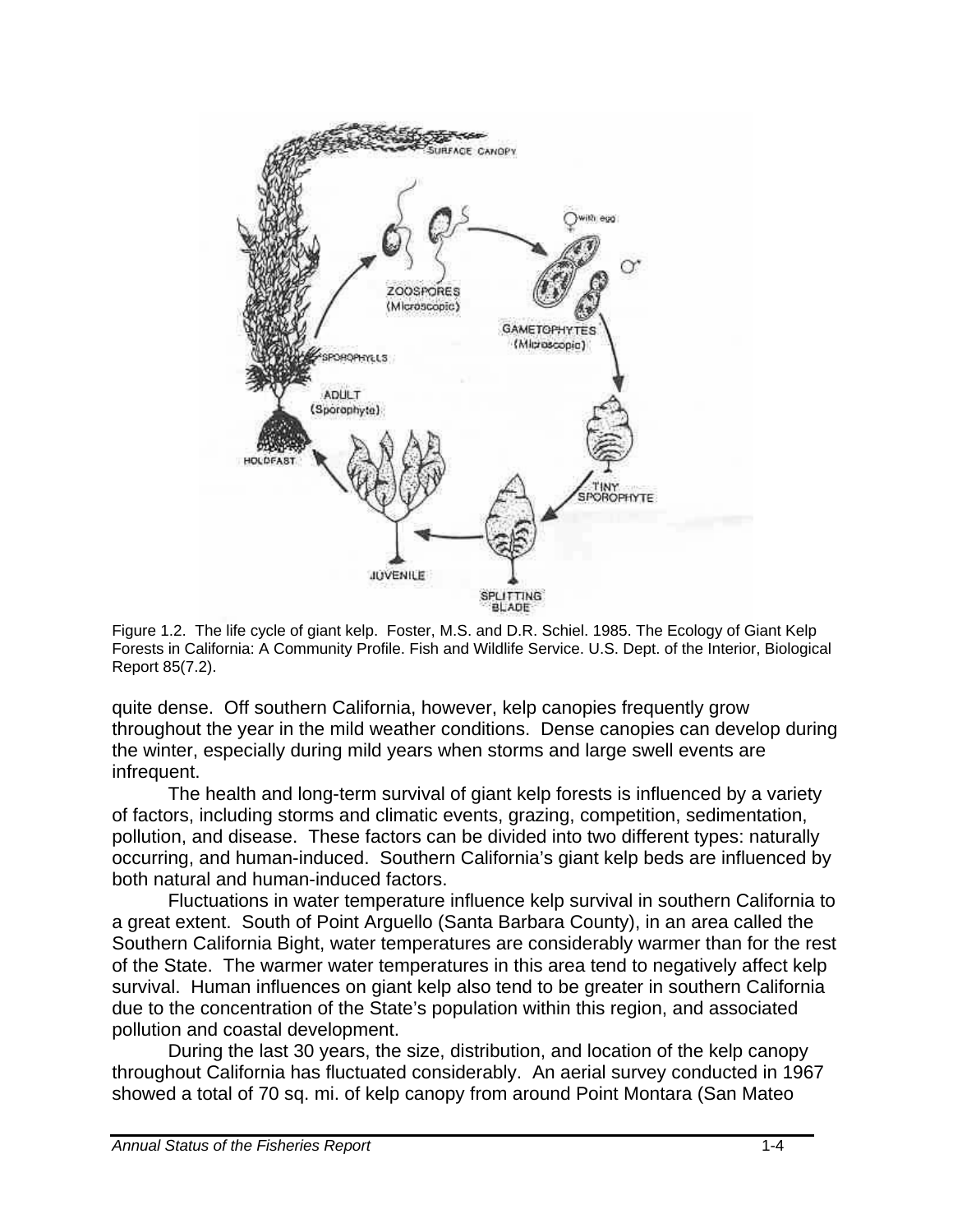

Figure 1.2. The life cycle of giant kelp. Foster, M.S. and D.R. Schiel. 1985. The Ecology of Giant Kelp Forests in California: A Community Profile. Fish and Wildlife Service. U.S. Dept. of the Interior, Biological Report 85(7.2).

quite dense. Off southern California, however, kelp canopies frequently grow throughout the year in the mild weather conditions. Dense canopies can develop during the winter, especially during mild years when storms and large swell events are infrequent.

The health and long-term survival of giant kelp forests is influenced by a variety of factors, including storms and climatic events, grazing, competition, sedimentation, pollution, and disease. These factors can be divided into two different types: naturally occurring, and human-induced. Southern California's giant kelp beds are influenced by both natural and human-induced factors.

Fluctuations in water temperature influence kelp survival in southern California to a great extent. South of Point Arguello (Santa Barbara County), in an area called the Southern California Bight, water temperatures are considerably warmer than for the rest of the State. The warmer water temperatures in this area tend to negatively affect kelp survival. Human influences on giant kelp also tend to be greater in southern California due to the concentration of the State's population within this region, and associated pollution and coastal development.

During the last 30 years, the size, distribution, and location of the kelp canopy throughout California has fluctuated considerably. An aerial survey conducted in 1967 showed a total of 70 sq. mi. of kelp canopy from around Point Montara (San Mateo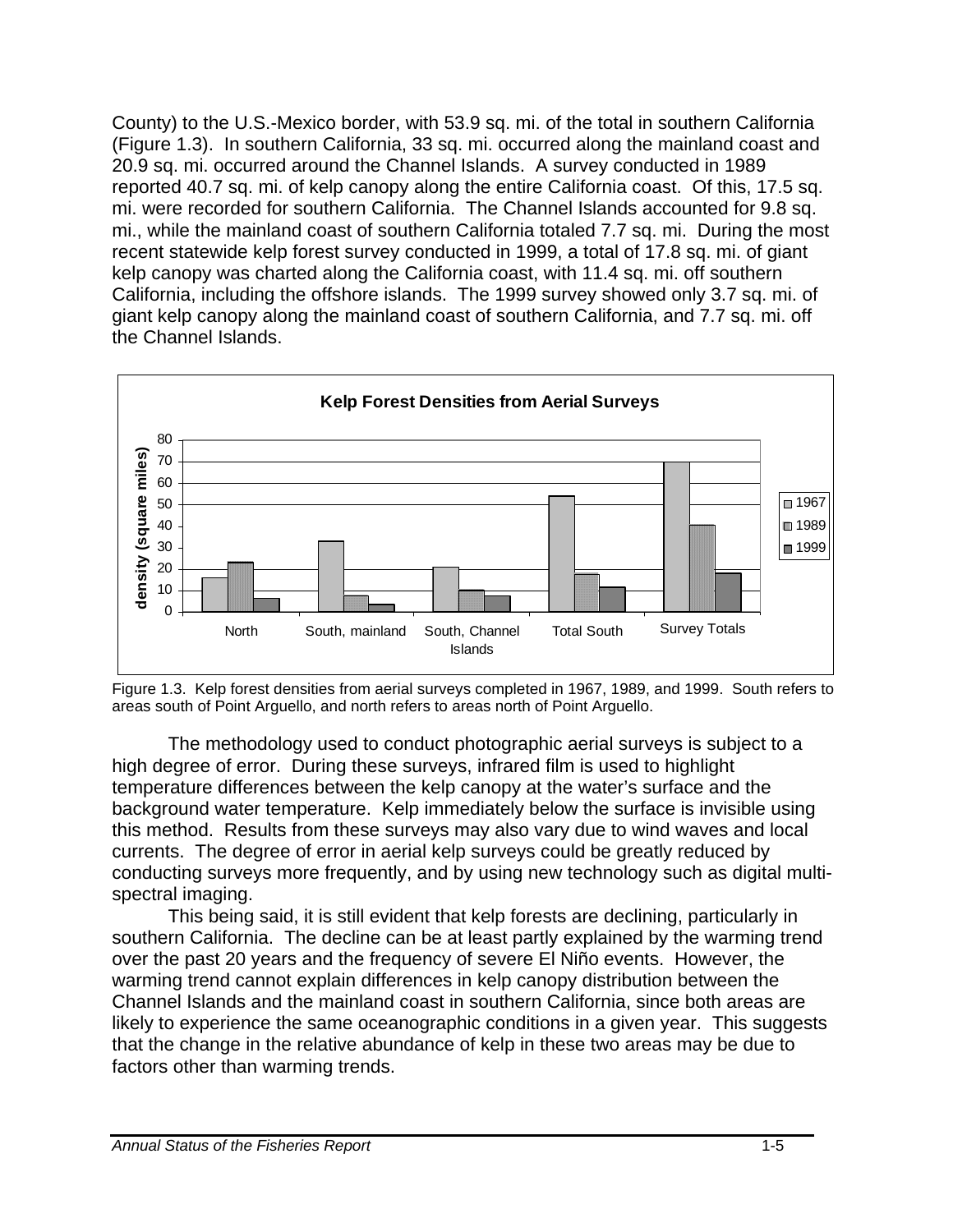County) to the U.S.-Mexico border, with 53.9 sq. mi. of the total in southern California (Figure 1.3). In southern California, 33 sq. mi. occurred along the mainland coast and 20.9 sq. mi. occurred around the Channel Islands. A survey conducted in 1989 reported 40.7 sq. mi. of kelp canopy along the entire California coast. Of this, 17.5 sq. mi. were recorded for southern California. The Channel Islands accounted for 9.8 sq. mi., while the mainland coast of southern California totaled 7.7 sq. mi. During the most recent statewide kelp forest survey conducted in 1999, a total of 17.8 sq. mi. of giant kelp canopy was charted along the California coast, with 11.4 sq. mi. off southern California, including the offshore islands. The 1999 survey showed only 3.7 sq. mi. of giant kelp canopy along the mainland coast of southern California, and 7.7 sq. mi. off the Channel Islands.





The methodology used to conduct photographic aerial surveys is subject to a high degree of error. During these surveys, infrared film is used to highlight temperature differences between the kelp canopy at the water's surface and the background water temperature. Kelp immediately below the surface is invisible using this method. Results from these surveys may also vary due to wind waves and local currents. The degree of error in aerial kelp surveys could be greatly reduced by conducting surveys more frequently, and by using new technology such as digital multispectral imaging.

This being said, it is still evident that kelp forests are declining, particularly in southern California. The decline can be at least partly explained by the warming trend over the past 20 years and the frequency of severe El Niño events. However, the warming trend cannot explain differences in kelp canopy distribution between the Channel Islands and the mainland coast in southern California, since both areas are likely to experience the same oceanographic conditions in a given year. This suggests that the change in the relative abundance of kelp in these two areas may be due to factors other than warming trends.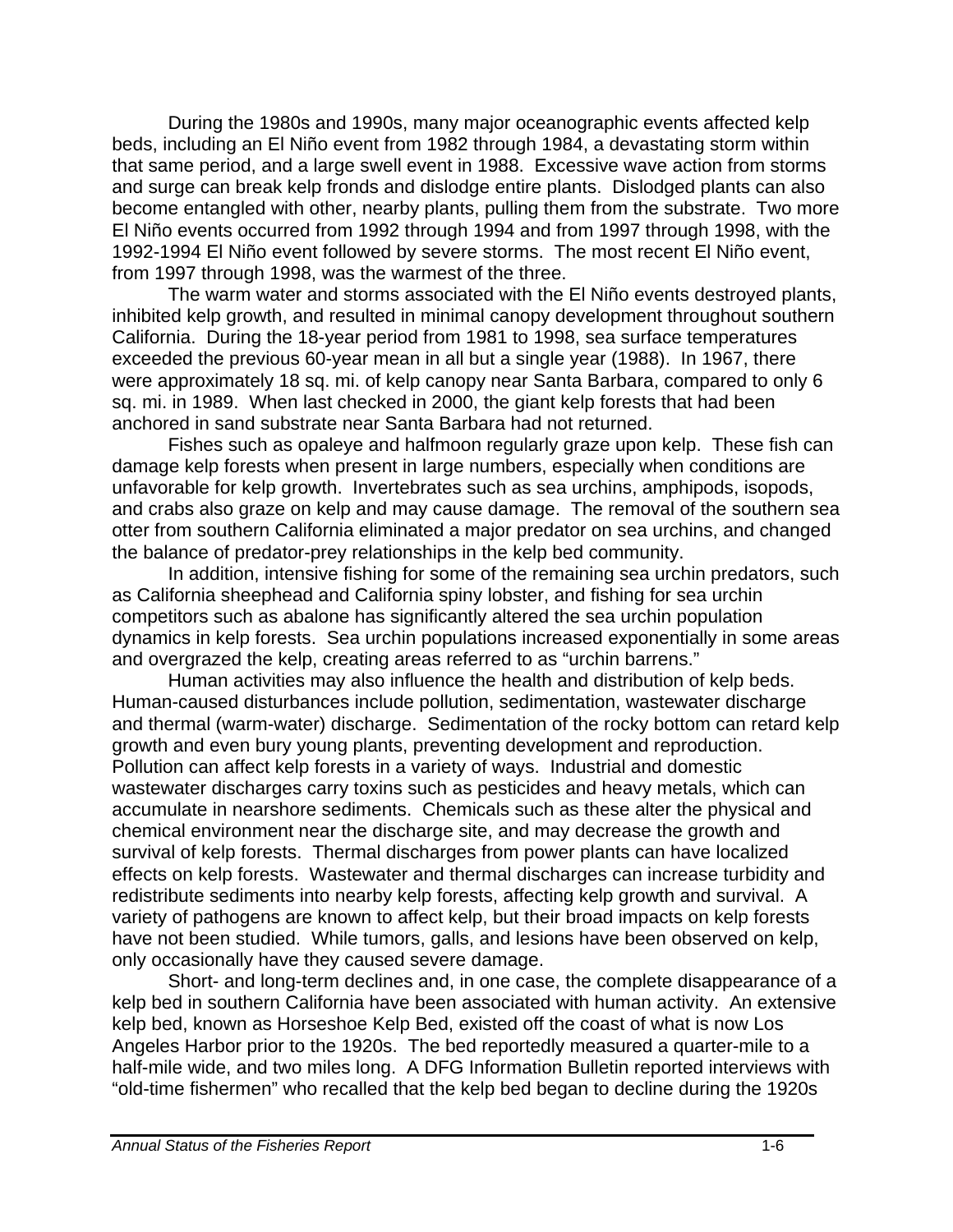During the 1980s and 1990s, many major oceanographic events affected kelp beds, including an El Niño event from 1982 through 1984, a devastating storm within that same period, and a large swell event in 1988. Excessive wave action from storms and surge can break kelp fronds and dislodge entire plants. Dislodged plants can also become entangled with other, nearby plants, pulling them from the substrate. Two more El Niño events occurred from 1992 through 1994 and from 1997 through 1998, with the 1992-1994 El Niño event followed by severe storms. The most recent El Niño event, from 1997 through 1998, was the warmest of the three.

The warm water and storms associated with the El Niño events destroyed plants, inhibited kelp growth, and resulted in minimal canopy development throughout southern California. During the 18-year period from 1981 to 1998, sea surface temperatures exceeded the previous 60-year mean in all but a single year (1988). In 1967, there were approximately 18 sq. mi. of kelp canopy near Santa Barbara, compared to only 6 sq. mi. in 1989. When last checked in 2000, the giant kelp forests that had been anchored in sand substrate near Santa Barbara had not returned.

Fishes such as opaleye and halfmoon regularly graze upon kelp. These fish can damage kelp forests when present in large numbers, especially when conditions are unfavorable for kelp growth. Invertebrates such as sea urchins, amphipods, isopods, and crabs also graze on kelp and may cause damage. The removal of the southern sea otter from southern California eliminated a major predator on sea urchins, and changed the balance of predator-prey relationships in the kelp bed community.

In addition, intensive fishing for some of the remaining sea urchin predators, such as California sheephead and California spiny lobster, and fishing for sea urchin competitors such as abalone has significantly altered the sea urchin population dynamics in kelp forests. Sea urchin populations increased exponentially in some areas and overgrazed the kelp, creating areas referred to as "urchin barrens."

Human activities may also influence the health and distribution of kelp beds. Human-caused disturbances include pollution, sedimentation, wastewater discharge and thermal (warm-water) discharge. Sedimentation of the rocky bottom can retard kelp growth and even bury young plants, preventing development and reproduction. Pollution can affect kelp forests in a variety of ways. Industrial and domestic wastewater discharges carry toxins such as pesticides and heavy metals, which can accumulate in nearshore sediments. Chemicals such as these alter the physical and chemical environment near the discharge site, and may decrease the growth and survival of kelp forests. Thermal discharges from power plants can have localized effects on kelp forests. Wastewater and thermal discharges can increase turbidity and redistribute sediments into nearby kelp forests, affecting kelp growth and survival. A variety of pathogens are known to affect kelp, but their broad impacts on kelp forests have not been studied. While tumors, galls, and lesions have been observed on kelp, only occasionally have they caused severe damage.

Short- and long-term declines and, in one case, the complete disappearance of a kelp bed in southern California have been associated with human activity. An extensive kelp bed, known as Horseshoe Kelp Bed, existed off the coast of what is now Los Angeles Harbor prior to the 1920s. The bed reportedly measured a quarter-mile to a half-mile wide, and two miles long. A DFG Information Bulletin reported interviews with "old-time fishermen" who recalled that the kelp bed began to decline during the 1920s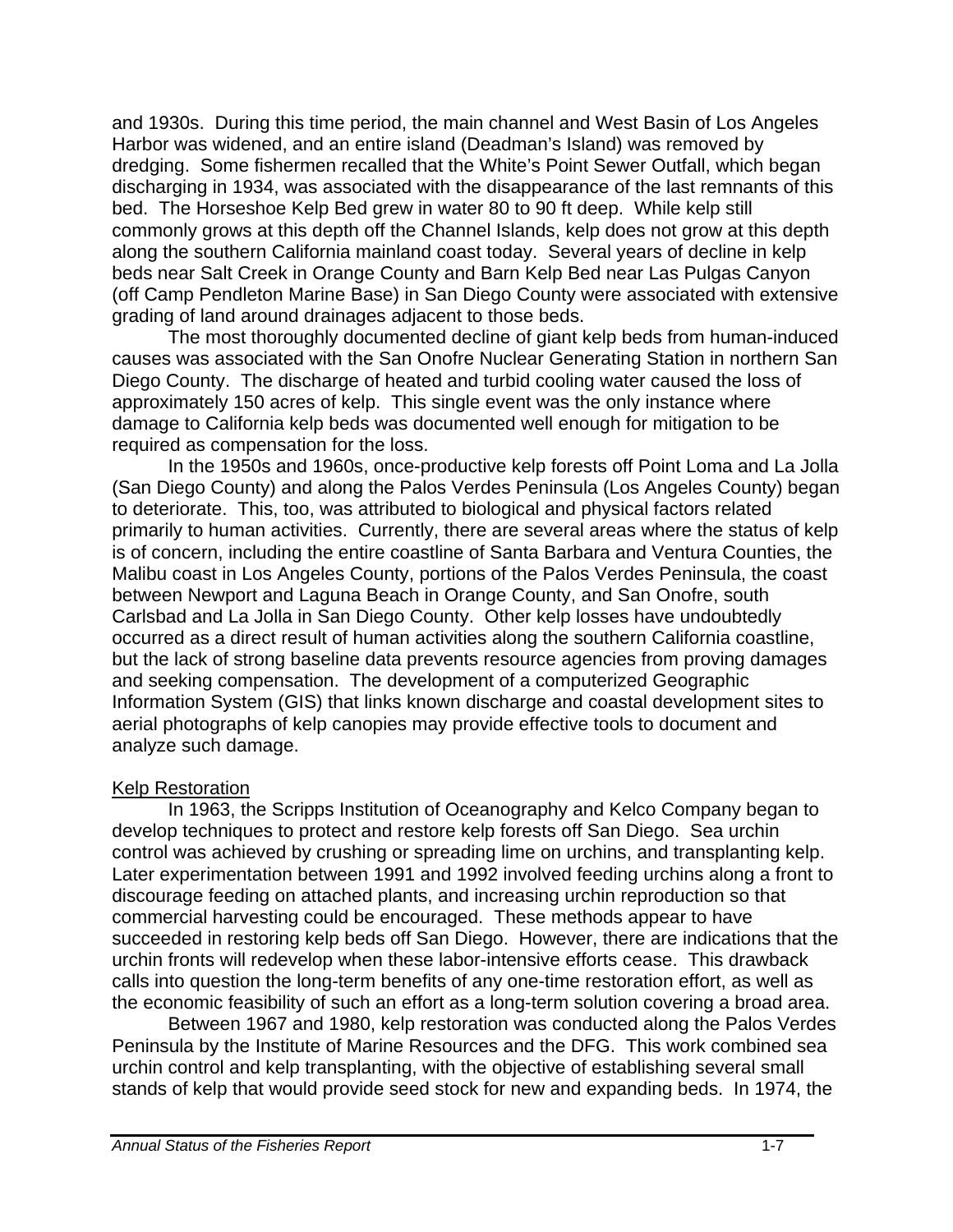and 1930s. During this time period, the main channel and West Basin of Los Angeles Harbor was widened, and an entire island (Deadman's Island) was removed by dredging. Some fishermen recalled that the White's Point Sewer Outfall, which began discharging in 1934, was associated with the disappearance of the last remnants of this bed. The Horseshoe Kelp Bed grew in water 80 to 90 ft deep. While kelp still commonly grows at this depth off the Channel Islands, kelp does not grow at this depth along the southern California mainland coast today. Several years of decline in kelp beds near Salt Creek in Orange County and Barn Kelp Bed near Las Pulgas Canyon (off Camp Pendleton Marine Base) in San Diego County were associated with extensive grading of land around drainages adjacent to those beds.

The most thoroughly documented decline of giant kelp beds from human-induced causes was associated with the San Onofre Nuclear Generating Station in northern San Diego County. The discharge of heated and turbid cooling water caused the loss of approximately 150 acres of kelp. This single event was the only instance where damage to California kelp beds was documented well enough for mitigation to be required as compensation for the loss.

In the 1950s and 1960s, once-productive kelp forests off Point Loma and La Jolla (San Diego County) and along the Palos Verdes Peninsula (Los Angeles County) began to deteriorate. This, too, was attributed to biological and physical factors related primarily to human activities. Currently, there are several areas where the status of kelp is of concern, including the entire coastline of Santa Barbara and Ventura Counties, the Malibu coast in Los Angeles County, portions of the Palos Verdes Peninsula, the coast between Newport and Laguna Beach in Orange County, and San Onofre, south Carlsbad and La Jolla in San Diego County. Other kelp losses have undoubtedly occurred as a direct result of human activities along the southern California coastline, but the lack of strong baseline data prevents resource agencies from proving damages and seeking compensation. The development of a computerized Geographic Information System (GIS) that links known discharge and coastal development sites to aerial photographs of kelp canopies may provide effective tools to document and analyze such damage.

#### Kelp Restoration

In 1963, the Scripps Institution of Oceanography and Kelco Company began to develop techniques to protect and restore kelp forests off San Diego. Sea urchin control was achieved by crushing or spreading lime on urchins, and transplanting kelp. Later experimentation between 1991 and 1992 involved feeding urchins along a front to discourage feeding on attached plants, and increasing urchin reproduction so that commercial harvesting could be encouraged. These methods appear to have succeeded in restoring kelp beds off San Diego. However, there are indications that the urchin fronts will redevelop when these labor-intensive efforts cease. This drawback calls into question the long-term benefits of any one-time restoration effort, as well as the economic feasibility of such an effort as a long-term solution covering a broad area.

Between 1967 and 1980, kelp restoration was conducted along the Palos Verdes Peninsula by the Institute of Marine Resources and the DFG. This work combined sea urchin control and kelp transplanting, with the objective of establishing several small stands of kelp that would provide seed stock for new and expanding beds. In 1974, the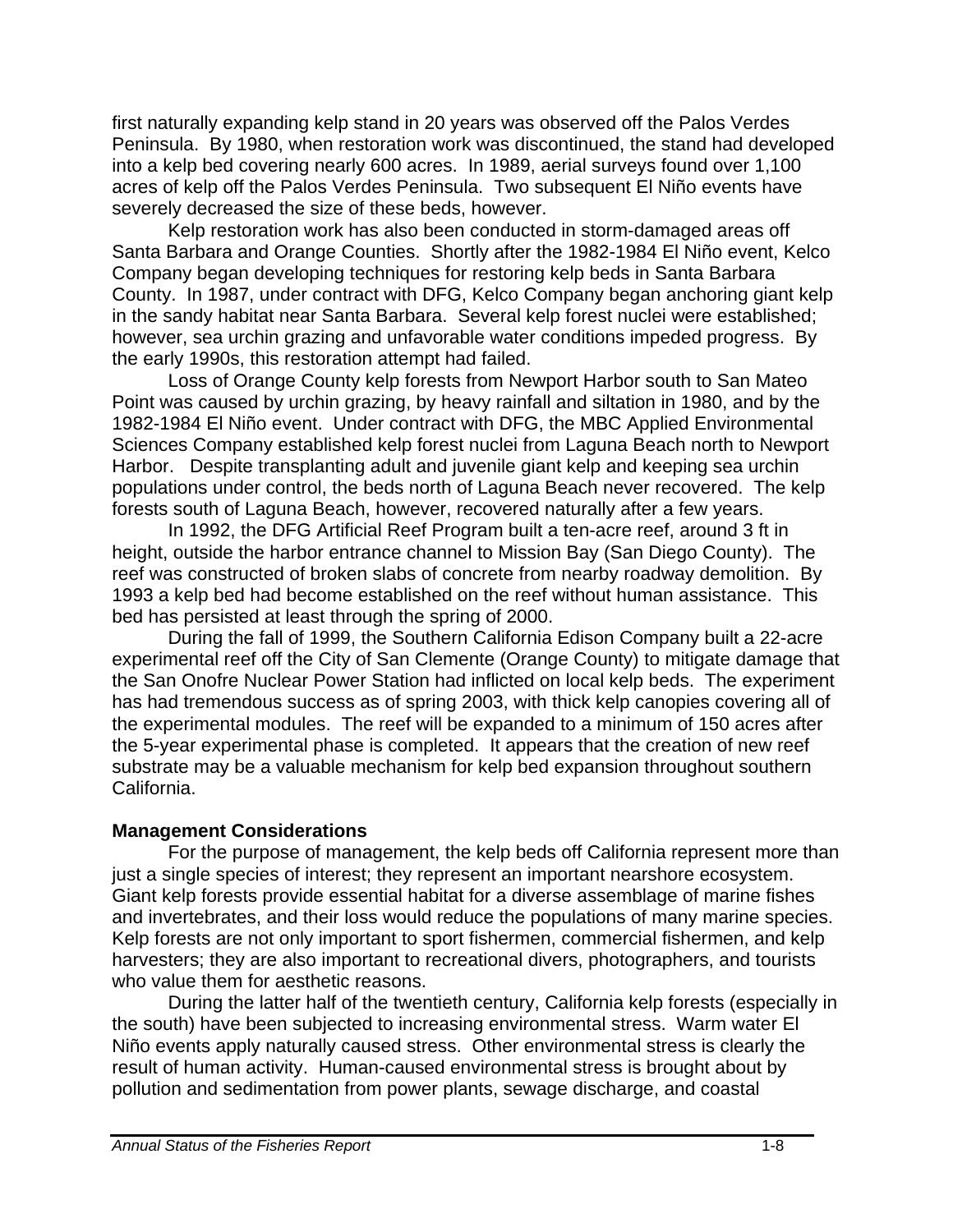first naturally expanding kelp stand in 20 years was observed off the Palos Verdes Peninsula. By 1980, when restoration work was discontinued, the stand had developed into a kelp bed covering nearly 600 acres. In 1989, aerial surveys found over 1,100 acres of kelp off the Palos Verdes Peninsula. Two subsequent El Niño events have severely decreased the size of these beds, however.

Kelp restoration work has also been conducted in storm-damaged areas off Santa Barbara and Orange Counties. Shortly after the 1982-1984 El Niño event, Kelco Company began developing techniques for restoring kelp beds in Santa Barbara County. In 1987, under contract with DFG, Kelco Company began anchoring giant kelp in the sandy habitat near Santa Barbara. Several kelp forest nuclei were established; however, sea urchin grazing and unfavorable water conditions impeded progress. By the early 1990s, this restoration attempt had failed.

Loss of Orange County kelp forests from Newport Harbor south to San Mateo Point was caused by urchin grazing, by heavy rainfall and siltation in 1980, and by the 1982-1984 El Niño event. Under contract with DFG, the MBC Applied Environmental Sciences Company established kelp forest nuclei from Laguna Beach north to Newport Harbor. Despite transplanting adult and juvenile giant kelp and keeping sea urchin populations under control, the beds north of Laguna Beach never recovered. The kelp forests south of Laguna Beach, however, recovered naturally after a few years.

In 1992, the DFG Artificial Reef Program built a ten-acre reef, around 3 ft in height, outside the harbor entrance channel to Mission Bay (San Diego County). The reef was constructed of broken slabs of concrete from nearby roadway demolition. By 1993 a kelp bed had become established on the reef without human assistance. This bed has persisted at least through the spring of 2000.

During the fall of 1999, the Southern California Edison Company built a 22-acre experimental reef off the City of San Clemente (Orange County) to mitigate damage that the San Onofre Nuclear Power Station had inflicted on local kelp beds. The experiment has had tremendous success as of spring 2003, with thick kelp canopies covering all of the experimental modules. The reef will be expanded to a minimum of 150 acres after the 5-year experimental phase is completed. It appears that the creation of new reef substrate may be a valuable mechanism for kelp bed expansion throughout southern California.

# **Management Considerations**

For the purpose of management, the kelp beds off California represent more than just a single species of interest; they represent an important nearshore ecosystem. Giant kelp forests provide essential habitat for a diverse assemblage of marine fishes and invertebrates, and their loss would reduce the populations of many marine species. Kelp forests are not only important to sport fishermen, commercial fishermen, and kelp harvesters; they are also important to recreational divers, photographers, and tourists who value them for aesthetic reasons.

During the latter half of the twentieth century, California kelp forests (especially in the south) have been subjected to increasing environmental stress. Warm water El Niño events apply naturally caused stress. Other environmental stress is clearly the result of human activity. Human-caused environmental stress is brought about by pollution and sedimentation from power plants, sewage discharge, and coastal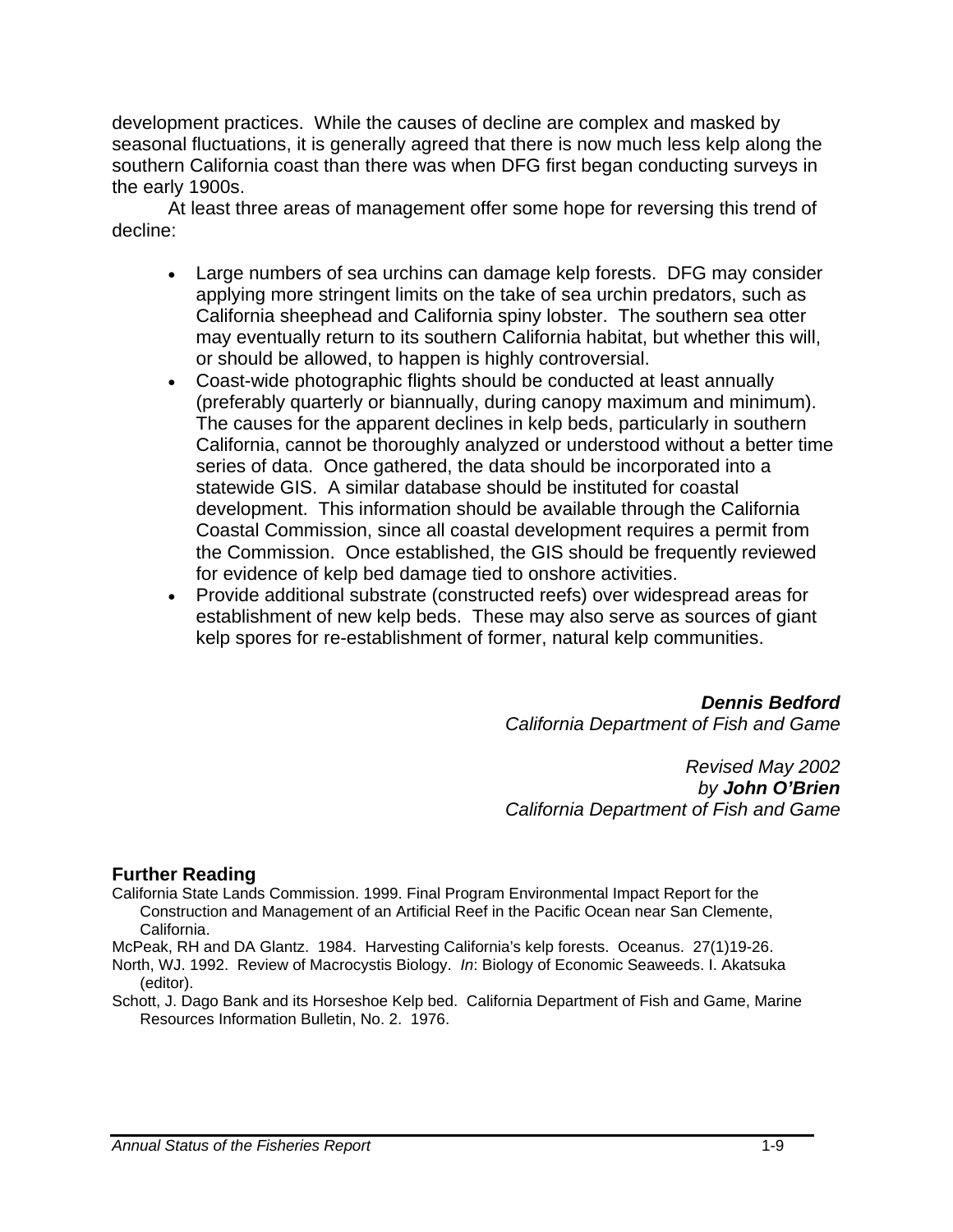development practices. While the causes of decline are complex and masked by seasonal fluctuations, it is generally agreed that there is now much less kelp along the southern California coast than there was when DFG first began conducting surveys in the early 1900s.

At least three areas of management offer some hope for reversing this trend of decline:

- Large numbers of sea urchins can damage kelp forests. DFG may consider applying more stringent limits on the take of sea urchin predators, such as California sheephead and California spiny lobster. The southern sea otter may eventually return to its southern California habitat, but whether this will, or should be allowed, to happen is highly controversial.
- Coast-wide photographic flights should be conducted at least annually (preferably quarterly or biannually, during canopy maximum and minimum). The causes for the apparent declines in kelp beds, particularly in southern California, cannot be thoroughly analyzed or understood without a better time series of data. Once gathered, the data should be incorporated into a statewide GIS. A similar database should be instituted for coastal development. This information should be available through the California Coastal Commission, since all coastal development requires a permit from the Commission. Once established, the GIS should be frequently reviewed for evidence of kelp bed damage tied to onshore activities.
- Provide additional substrate (constructed reefs) over widespread areas for establishment of new kelp beds. These may also serve as sources of giant kelp spores for re-establishment of former, natural kelp communities.

*Dennis Bedford California Department of Fish and Game* 

*Revised May 2002 by John O'Brien* *California Department of Fish and Game* 

#### **Further Reading**

California State Lands Commission. 1999. Final Program Environmental Impact Report for the Construction and Management of an Artificial Reef in the Pacific Ocean near San Clemente, California.

McPeak, RH and DA Glantz. 1984. Harvesting California's kelp forests. Oceanus. 27(1)19-26.

North, WJ. 1992. Review of Macrocystis Biology. *In*: Biology of Economic Seaweeds. I. Akatsuka (editor).

Schott, J. Dago Bank and its Horseshoe Kelp bed. California Department of Fish and Game, Marine Resources Information Bulletin, No. 2. 1976.